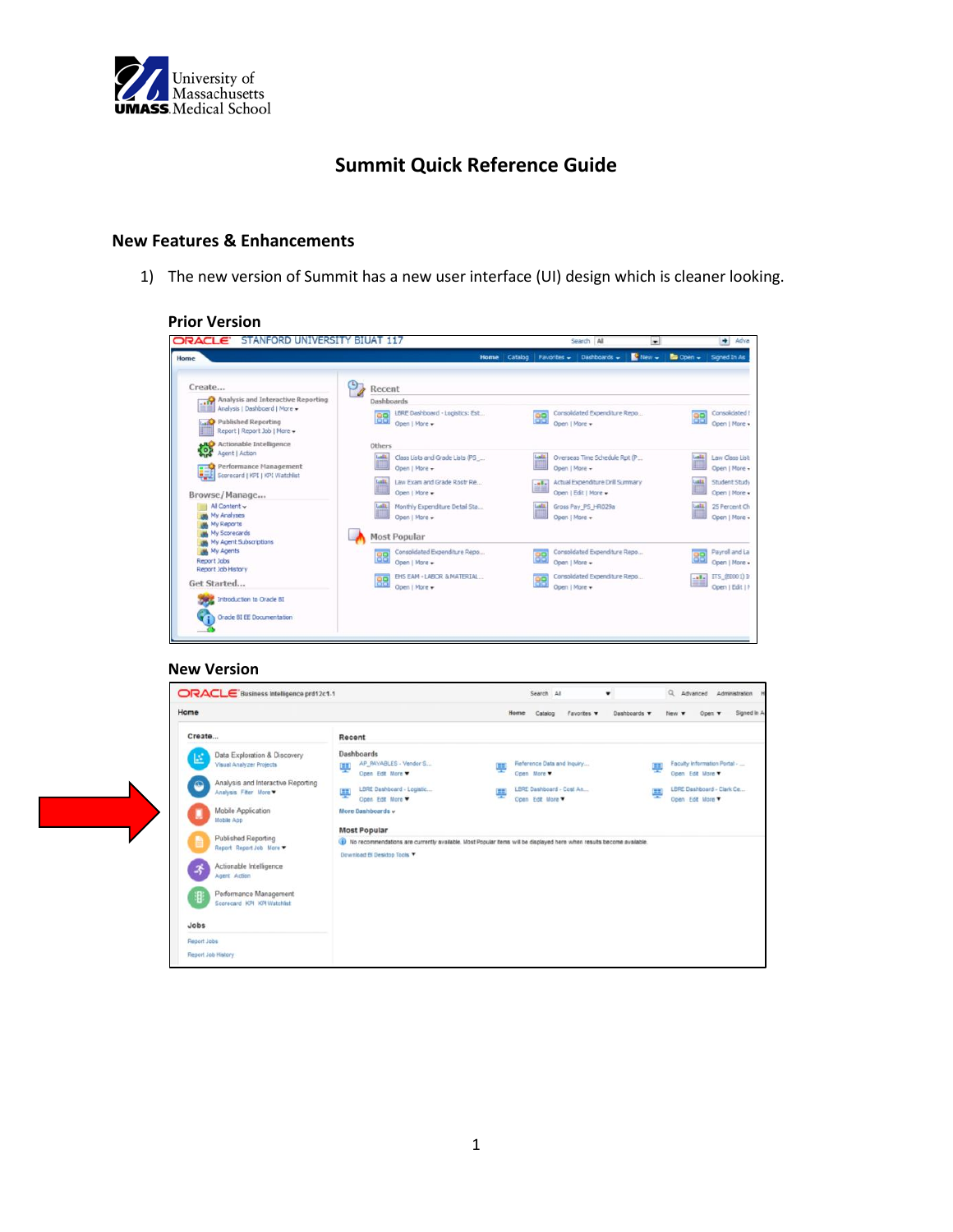

# **Summit Quick Reference Guide**

## **New Features & Enhancements**

1) The new version of Summit has a new user interface (UI) design which is cleaner looking.

| <b>ORACLE</b><br><b>STANFORD</b><br><b>UNIVERSIT</b>                                                                                              | 117<br><b>BIUAT</b>                                                               | Search All                                                                                      | $+$ Adva<br>$\blacksquare$                              |
|---------------------------------------------------------------------------------------------------------------------------------------------------|-----------------------------------------------------------------------------------|-------------------------------------------------------------------------------------------------|---------------------------------------------------------|
| Home                                                                                                                                              | Catalog<br>Home                                                                   | New +<br>Dashboards -<br>Favorites -                                                            | <b>Ba</b> Open +<br>Signed In As                        |
| Create                                                                                                                                            | Recent                                                                            |                                                                                                 |                                                         |
| Analysis and Interactive Reporting<br>Analysis   Dashboard   More +<br><b>Published Reporting</b><br><b>Lange</b><br>Report   Report Job   More + | Dashboards<br>LBRE Dashboard - Logistics: Est<br>88<br>Open   More +              | Consolidated Expenditure Repo<br>88<br>Open   More +                                            | Consolidated E<br>88<br>Open   More -                   |
| Actionable Intelligence<br>505<br>Agent   Action<br>Performance Management                                                                        | Others<br><b>Lutilit</b><br>Class Lists and Grade Lists (PS                       | <b>Lake</b><br>Overseas Time Schedule Rpt (P                                                    | <b>Latit</b><br>Law Class List                          |
| Scorecard   KPI   KPI Watchlist<br>Browse/Manage                                                                                                  | Open   More +<br>Lastit<br>Law Exam and Grade Rostr Re<br>Open   More +           | Open   More +<br>Actual Expenditure Drill Summary<br>$-$ alla $-$<br>三日<br>Open   Edit   More + | Open   More +<br>Student Study<br>Latt<br>Open   More + |
| All Content v<br>My Analyses<br><b>My Reports</b><br>My Scorecards<br>My Agent Subscriptions                                                      | Latilli<br>Monthly Expenditure Detail Sta<br>Open   More +<br><b>Most Popular</b> | Latit<br>Gross Pay_PS_HR029a<br>Open   More +                                                   | Lall<br>25 Percent Ch<br>Open   More +                  |
| <b>My Agents</b><br>Report Jobs<br>Report Job History                                                                                             | Consolidated Expenditure Repo<br>88<br>Open   More +                              | Consolidated Expenditure Repo<br>88<br>Open   More +                                            | Payrol and La<br>88<br>Open   More .                    |
| Get Started                                                                                                                                       | EHS EAM - LABOR & MATERIAL<br>88<br>Open   More +                                 | Consolidated Expenditure Repo<br>88<br>Open   More +                                            | ITS (BIOO1) In<br>$-$ with $-$<br>≕<br>Open   Edit   P  |
| Introduction to Oracle BI<br>12.000<br><b>Oracle BI EE Documentation</b>                                                                          |                                                                                   |                                                                                                 |                                                         |

#### **New Version**

| Home                                                                                                                                                                                                          |                                                                                                                                                              | Home<br>Catalog<br>Favories <b>v</b>                                                                                    | Signed in A<br>Dashboards<br>Doen v                                                                     |
|---------------------------------------------------------------------------------------------------------------------------------------------------------------------------------------------------------------|--------------------------------------------------------------------------------------------------------------------------------------------------------------|-------------------------------------------------------------------------------------------------------------------------|---------------------------------------------------------------------------------------------------------|
| Create                                                                                                                                                                                                        | Recent                                                                                                                                                       |                                                                                                                         |                                                                                                         |
| Data Exploration & Discovery<br>區<br>Visual Analyzer Projects<br>Analysis and Interactive Reporting<br>$\circledcirc$<br>Analysis Filter More<br>Mobile Application<br>u<br>Mobile App<br>Published Reporting | Dashboards<br>AP PAYABLES - Vendor S.<br>塦<br>Open Edit More<br>LBRE Dashboard - Logistic<br>里<br>Open Edit More<br>More Dashboards -<br><b>Most Popular</b> | Reference Data and Inquiry<br>百言<br>Open More<br>LBRE Dashboard - Cost An<br>Open Edit More                             | Faculty Information Portal -<br>m<br>÷<br>Open Edit More<br>LBRE Dashboard - Clark Ce<br>Open Edit More |
| Report Report Job More<br>Actionable Intelligence<br>ゔ<br>Agent Action<br>Performance Management<br>非<br>Scorecard KPI KPI Watchlat<br>Jobs                                                                   | Download BI Desktop Tools                                                                                                                                    | I) No recommendations are currently available. Most Popular items will be displayed here when results become available. |                                                                                                         |

## **Prior Version**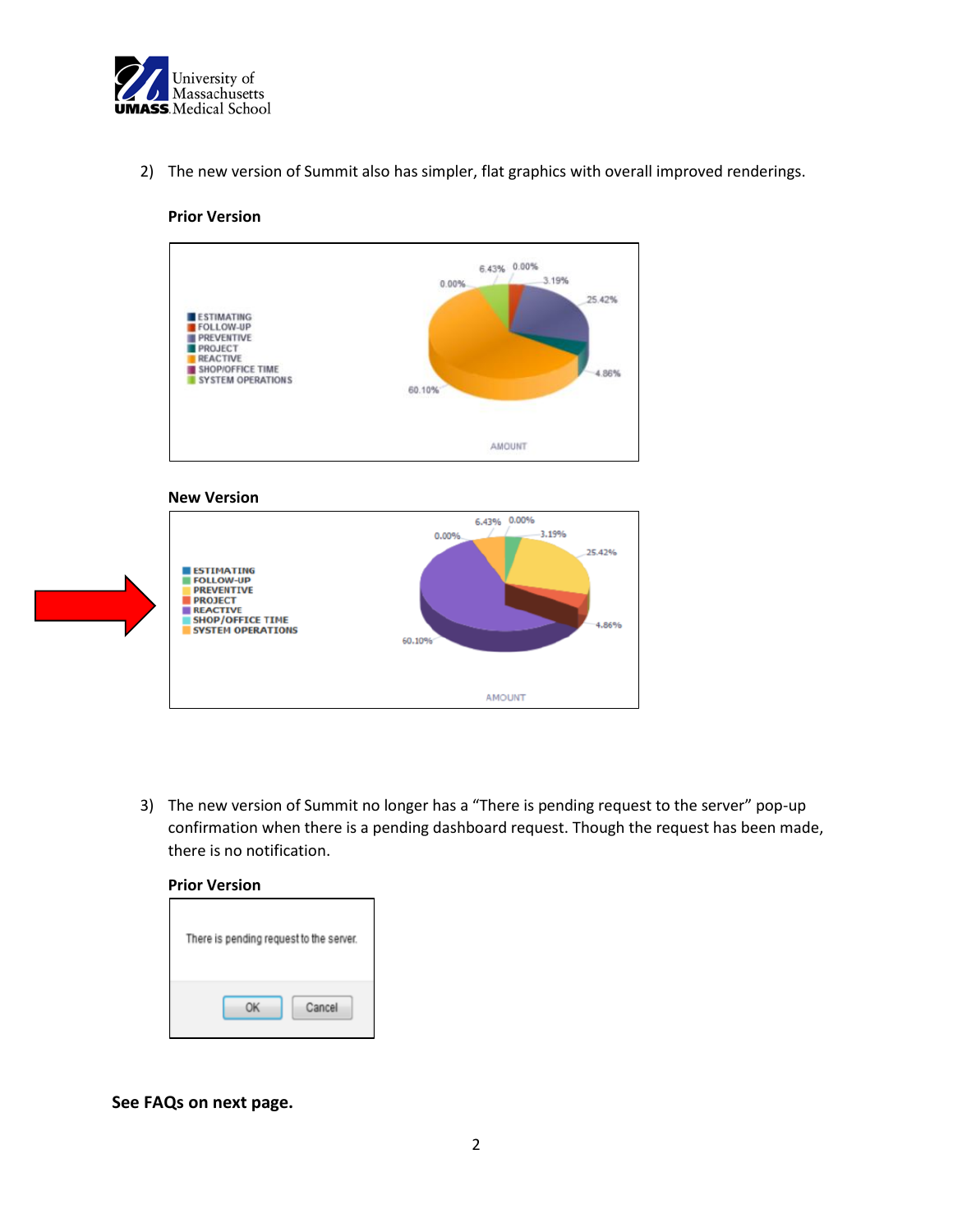

2) The new version of Summit also has simpler, flat graphics with overall improved renderings.

### **Prior Version**



#### **New Version**



3) The new version of Summit no longer has a "There is pending request to the server" pop-up confirmation when there is a pending dashboard request. Though the request has been made, there is no notification.

#### **Prior Version**

| There is pending request to the server. |        |
|-----------------------------------------|--------|
|                                         | Cancel |

**See FAQs on next page.**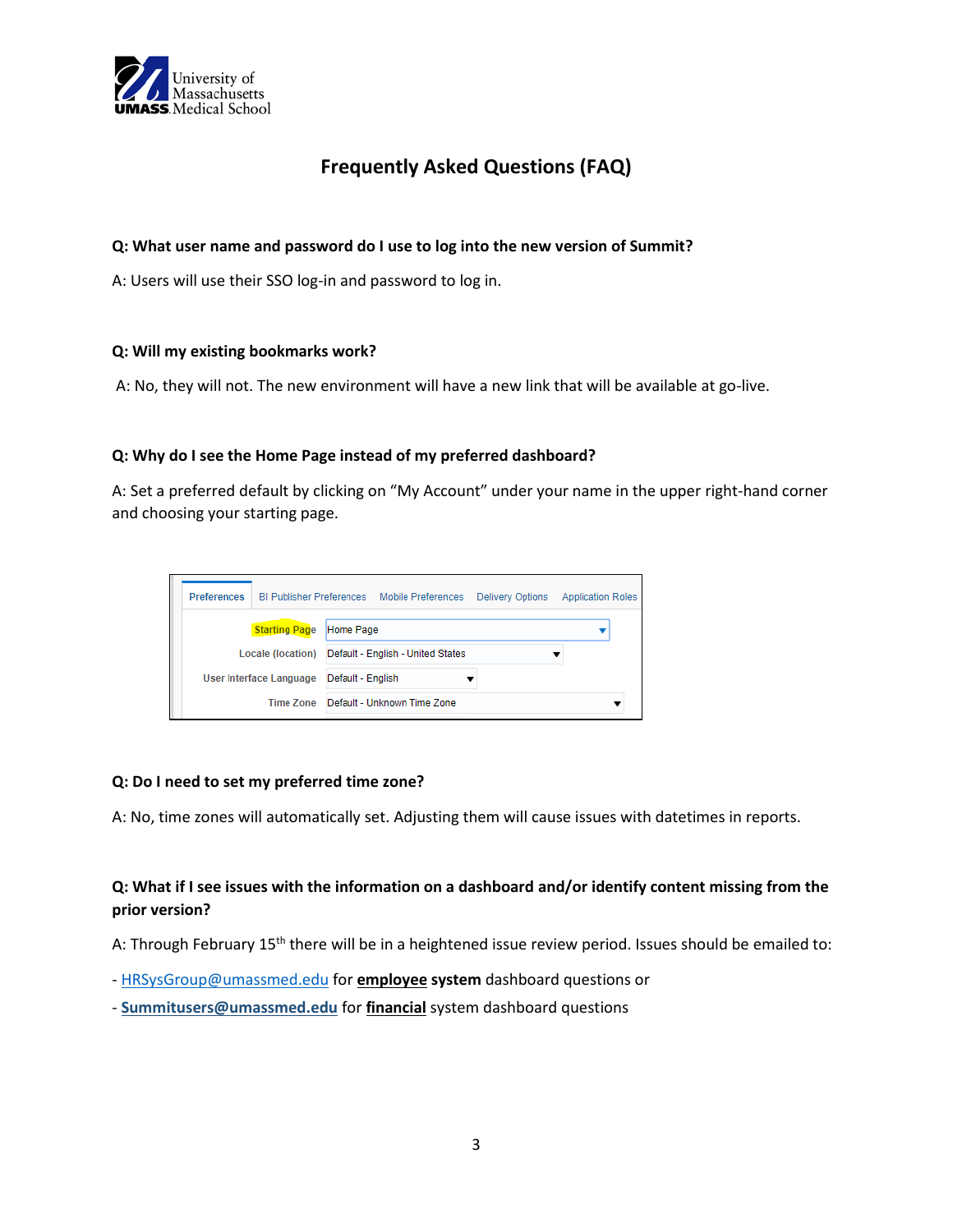

# **Frequently Asked Questions (FAQ)**

### **Q: What user name and password do I use to log into the new version of Summit?**

A: Users will use their SSO log-in and password to log in.

### **Q: Will my existing bookmarks work?**

A: No, they will not. The new environment will have a new link that will be available at go-live.

### **Q: Why do I see the Home Page instead of my preferred dashboard?**

A: Set a preferred default by clicking on "My Account" under your name in the upper right-hand corner and choosing your starting page.



### **Q: Do I need to set my preferred time zone?**

A: No, time zones will automatically set. Adjusting them will cause issues with datetimes in reports.

## **Q: What if I see issues with the information on a dashboard and/or identify content missing from the prior version?**

A: Through February 15<sup>th</sup> there will be in a heightened issue review period. Issues should be emailed to:

- [HRSysGroup@umassmed.edu](mailto:HRSysGroup@umassmed.edu) for **employee system** dashboard questions or
- **Summitusers@umassmed.edu** for **financial** system dashboard questions